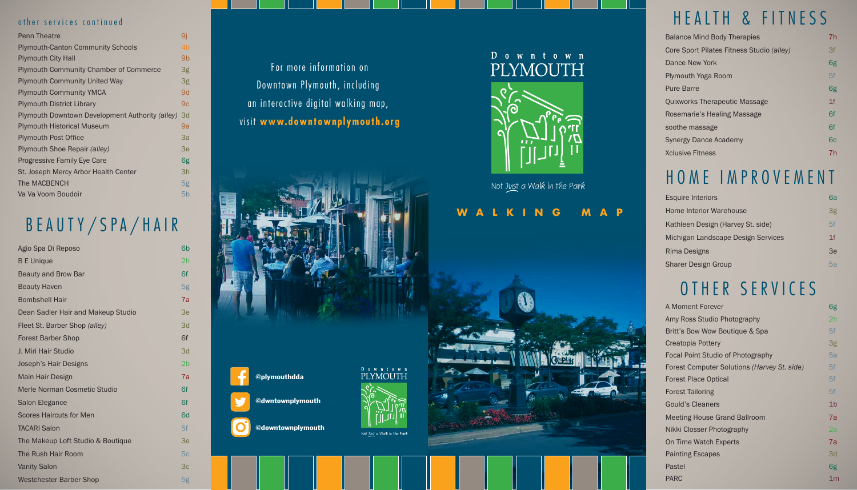## HEALTH & FITNESS

## HOME IMPROVEMENT

#### **WALKING MAP**



# BEAUTY/SPA/HAIR



### $D$  own town PLYMOUTH



Not Just a Walk in the Park

| Agio Spa Di Reposo                 | 6b             |
|------------------------------------|----------------|
| <b>B</b> E Unique                  | 2h             |
| <b>Beauty and Brow Bar</b>         | 6f             |
| <b>Beauty Haven</b>                | 5g             |
| <b>Bombshell Hair</b>              | 7a             |
| Dean Sadler Hair and Makeup Studio | Зе             |
| Fleet St. Barber Shop (alley)      | 3d             |
| <b>Forest Barber Shop</b>          | 6f             |
| J. Miri Hair Studio                | 3d             |
| Joseph's Hair Designs              | 2 <sub>b</sub> |
| Main Hair Design                   | 7a             |
| Merle Norman Cosmetic Studio       | 6f             |
| Salon Elegance                     | 6f             |
| <b>Scores Haircuts for Men</b>     | 6d             |
| <b>TACARI Salon</b>                | 5f             |
| The Makeup Loft Studio & Boutique  | 3e             |
| The Rush Hair Room                 | 5c             |
| <b>Vanity Salon</b>                | 3c             |
| <b>Westchester Barber Shop</b>     | 5g             |

### For more information on Downtown Plymouth, including an interactive digital walking map, visit **www.downtownplymouth.org**

| <b>Balance Mind Body Therapies</b>        | 7h             |
|-------------------------------------------|----------------|
| Core Sport Pilates Fitness Studio (alley) | 3f             |
| Dance New York                            | 6g             |
| Plymouth Yoga Room                        | 5f             |
| <b>Pure Barre</b>                         | 6g             |
| <b>Ouixworks Therapeutic Massage</b>      | 1 <sup>f</sup> |
| Rosemarie's Healing Massage               | 6f             |
| soothe massage                            | 6f             |
| Synergy Dance Academy                     | 6с             |
| Xclusive Fitness                          | 7h             |

| <b>Esquire Interiors</b>           | 6a             |
|------------------------------------|----------------|
| Home Interior Warehouse            | 3g             |
| Kathleen Design (Harvey St. side)  | 5f             |
| Michigan Landscape Design Services | 1 <sup>f</sup> |
| Rima Designs                       | Зе             |
| Sharer Design Group                | 5a             |

## OTHER SERVICES

| A Moment Forever                            | 6g             |
|---------------------------------------------|----------------|
| Amy Ross Studio Photography                 | 2h             |
| Britt's Bow Wow Boutique & Spa              | 5f             |
| Creatopia Pottery                           | 3g             |
| Focal Point Studio of Photography           | 5a             |
| Forest Computer Solutions (Harvey St. side) | 5f             |
| <b>Forest Place Optical</b>                 | 5f             |
| Forest Tailoring                            | 5f             |
| <b>Gould's Cleaners</b>                     | 1 <sub>b</sub> |
| Meeting House Grand Ballroom                | 7a             |
| Nikki Closser Photography                   | 2a             |
| On Time Watch Experts                       | 7a             |
| Painting Escapes                            | 3d             |
| Pastel                                      | 6g             |
| PARC                                        | 1 <sub>m</sub> |
|                                             |                |

| <b>Penn Theatre</b>                             | 9i |
|-------------------------------------------------|----|
| <b>Plymouth-Canton Community Schools</b>        | 4b |
| <b>Plymouth City Hall</b>                       | 9b |
| <b>Plymouth Community Chamber of Commerce</b>   | 3g |
| <b>Plymouth Community United Way</b>            | 3g |
| <b>Plymouth Community YMCA</b>                  | 9d |
| <b>Plymouth District Library</b>                | 9c |
| Plymouth Downtown Development Authority (alley) | 3d |
| <b>Plymouth Historical Museum</b>               | 9a |
| <b>Plymouth Post Office</b>                     | 3a |
| Plymouth Shoe Repair (alley)                    | Зе |
| <b>Progressive Family Eye Care</b>              | 6g |
| St. Joseph Mercy Arbor Health Center            | Зh |
| The MACBENCH                                    | 5g |
| Va Va Voom Boudoir                              | 5b |

#### other services continued